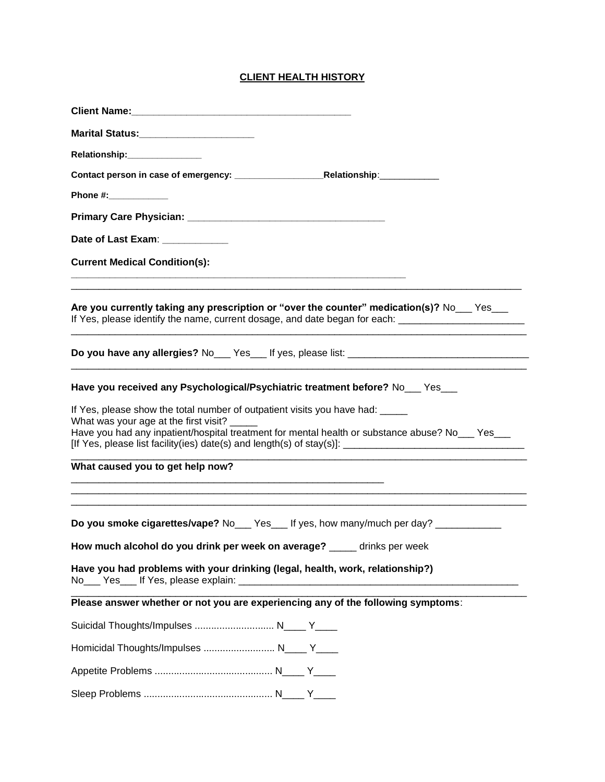## **CLIENT HEALTH HISTORY**

| Marital Status:_________________________                                                                                                                                                            |
|-----------------------------------------------------------------------------------------------------------------------------------------------------------------------------------------------------|
| Relationship: _______________                                                                                                                                                                       |
|                                                                                                                                                                                                     |
| Phone #: ___________                                                                                                                                                                                |
|                                                                                                                                                                                                     |
| Date of Last Exam: ____________                                                                                                                                                                     |
| <b>Current Medical Condition(s):</b>                                                                                                                                                                |
| Are you currently taking any prescription or "over the counter" medication(s)? No___ Yes___<br>If Yes, please identify the name, current dosage, and date began for each: ________________________  |
|                                                                                                                                                                                                     |
| Have you received any Psychological/Psychiatric treatment before? No Fes<br>If Yes, please show the total number of outpatient visits you have had:<br>What was your age at the first visit? ______ |
| Have you had any inpatient/hospital treatment for mental health or substance abuse? No___ Yes___                                                                                                    |
| What caused you to get help now?                                                                                                                                                                    |
| Do you smoke cigarettes/vape? No___ Yes___ If yes, how many/much per day? ___________<br>How much alcohol do you drink per week on average? ____ drinks per week                                    |
| Have you had problems with your drinking (legal, health, work, relationship?)                                                                                                                       |
| Please answer whether or not you are experiencing any of the following symptoms:                                                                                                                    |
| Suicidal Thoughts/Impulses  N____ Y____                                                                                                                                                             |
| Homicidal Thoughts/Impulses  N____ Y____                                                                                                                                                            |
|                                                                                                                                                                                                     |
|                                                                                                                                                                                                     |